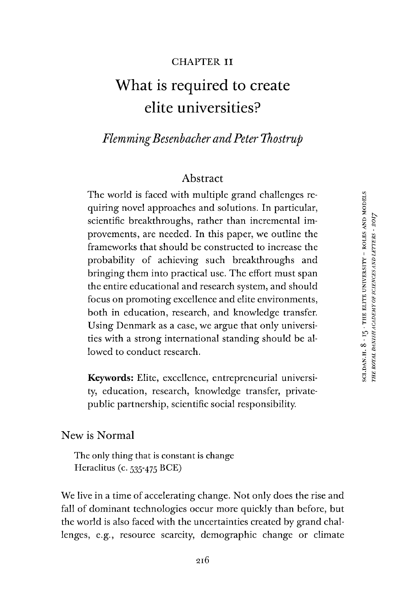#### CHAPTER II

# What is required to create elite universities?

# *FlemmingBesenbacher andPeter Thostrup*

## Abstract

The world is faced with multiple grand challenges requiring novel approaches and solutions. In particular, scientific breakthroughs, rather than incremental improvements, are needed. In this paper, we outline the frameworks that should be constructed to increase the probability of achieving such breakthroughs and bringing them into practical use. The effort must span the entire educational and research system, and should focus on promoting excellence and elite environments, both in education, research, and knowledge transfer. Using Denmark as a case, we argue that only universities with a strong international standing should be allowed to conduct research.

**Keywords:** Elite, excellence, entrepreneurial university, education, research, knowledge transfer, privatepublic partnership, scientific social responsibility.

#### New is Normal

The only thing that is constant is change Heraclitus (c. 535-475 BCE)

We live in a time of accelerating change. Not only does the rise and fall of dominant technologies occur more quickly than before, but the world is also faced with the uncertainties created by grand challenges, e.g., resource scarcity, demographic change or climate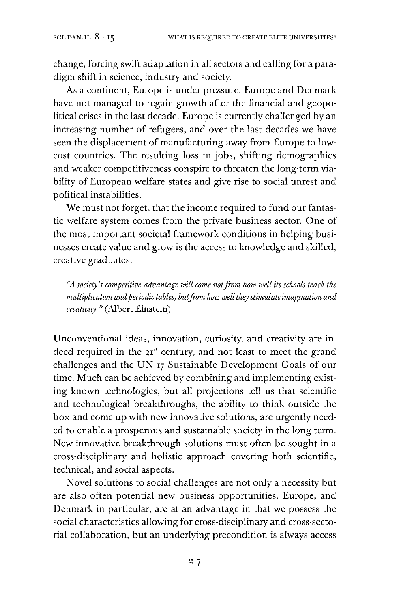change, forcing swift adaptation in all sectors and calling for a paradigm shift in science, industry and society.

As a continent, Europe is under pressure. Europe and Denmark have not managed to regain growth after the financial and geopolitical crises in the last decade. Europe is currently challenged by an increasing number of refugees, and over the last decades we have seen the displacement of manufacturing away from Europe to lowcost countries. The resulting loss in jobs, shifting demographics and weaker competitiveness conspire to threaten the long-term viability of European welfare states and give rise to social unrest and political instabilities.

We must not forget, that the income required to fund our fantastic welfare system comes from the private business sector. One of the most important societal framework conditions in helping businesses create value and grow is the access to knowledge and skilled, creative graduates:

*"A society's competitive advantage will come notfrom how well its schools teach the multiplication andperiodic tables, butfrom how wellthey stimulate imagination and creativity. "* (Albert Einstein)

Unconventional ideas, innovation, curiosity, and creativity are indeed required in the  $21^{st}$  century, and not least to meet the grand challenges and the UN <sup>17</sup> Sustainable Development Goals of our time. Much can be achieved by combining and implementing existing known technologies, but all projections tell us that scientific and technological breakthroughs, the ability to think outside the box and come up with new innovative solutions, are urgently needed to enable a prosperous and sustainable society in the long term. New innovative breakthrough solutions must often be sought in a cross-disciplinary and holistic approach covering both scientific, technical, and social aspects.

Novel solutions to social challenges are not only a necessity but are also often potential new business opportunities. Europe, and Denmark in particular, are at an advantage in that we possess the social characteristics allowing for cross-disciplinary and cross-sectorial collaboration, but an underlying precondition is always access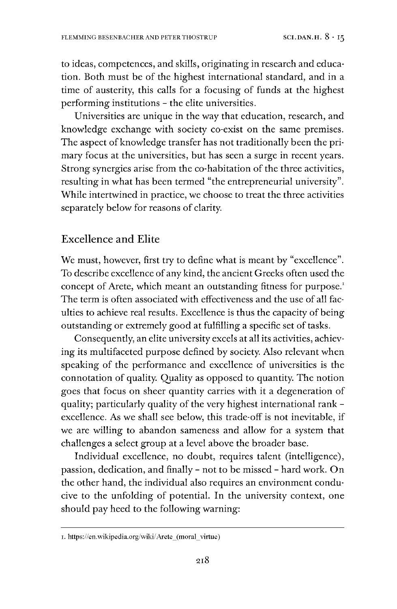to ideas, competences, and skills, originating in research and education. Both must be of the highest international standard, and in a time of austerity, this calls for a focusing of funds at the highest performing institutions - the elite universities.

Universities are unique in the way that education, research, and knowledge exchange with society co-exist on the same premises. The aspect of knowledge transfer has not traditionally been the primary focus at the universities, but has seen a surge in recent years. Strong synergies arise from the co-habitation of the three activities, resulting in what has been termed "the entrepreneurial university". While intertwined in practice, we choose to treat the three activities separately below for reasons of clarity.

# Excellence and Elite

We must, however, first try to define what is meant by "excellence". To describe excellence of any kind, the ancient Greeks often used the concept of Arete, which meant an outstanding fitness for purpose.<sup>[1](#page-2-0)</sup> The term is often associated with effectiveness and the use of all faculties to achieve real results. Excellence is thus the capacity of being outstanding or extremely good at fulfilling a specific set of tasks.

Consequently, an elite university excels at all its activities, achieving its multifaceted purpose defined by society. Also relevant when speaking of the performance and excellence of universities is the connotation of quality. Quality as opposed to quantity. The notion goes that focus on sheer quantity carries with it a degeneration of quality; particularly quality of the very highest international rank excellence. As we shall see below, this trade-off is not inevitable, if we are willing to abandon sameness and allow for a system that challenges a select group at a level above the broader base.

Individual excellence, no doubt, requires talent (intelligence), passion, dedication, and finally - not to be missed - hard work. On the other hand, the individual also requires an environment conducive to the unfolding of potential. In the university context, one should pay heed to the following warning:

<span id="page-2-0"></span>i. https://en.wikipedia. org/wiki/Arete\_(moral\_virtue)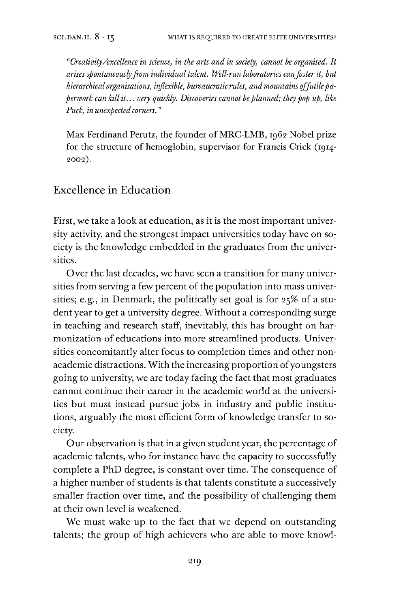*"Creativity/excellence in science, in the arts and in society, cannot be organised. It arises spontaneouslyfrom individual talent. Well-run laboratories canfoster it, but hierarchical organisations, inflexible, bureaucratic rules, andmountains offutilepaperwork can kill it... very quickly. Discoveries cannot beplanned; they pop up, like Puck, in unexpected corners. "*

Max Ferdinand Perutz, the founder of MRC-LMB, 1962 Nobel prize for the structure of hemoglobin, supervisor for Francis Crick (1914- 2002).

## Excellence in Education

First, we take a look at education, as it is the most important university activity, and the strongest impact universities today have on society is the knowledge embedded in the graduates from the universities.

Over the last decades, we have seen a transition for many universities from serving a few percent of the population into mass universities; e.g., in Denmark, the politically set goal is for 25% of a student year to get a university degree. Without a corresponding surge in teaching and research staff, inevitably, this has brought on harmonization of educations into more streamlined products. Universities concomitantly alter focus to completion times and other nonacademic distractions. With the increasing proportion of youngsters going to university, we are today facing the fact that most graduates cannot continue their career in the academic world at the universities but must instead pursue jobs in industry and public institutions, arguably the most efficient form of knowledge transfer to society.

Our observation is that in a given student year, the percentage of academic talents, who for instance have the capacity to successfully complete a PhD degree, is constant over time. The consequence of a higher number of students is that talents constitute a successively smaller fraction over time, and the possibility of challenging them at their own level is weakened.

We must wake up to the fact that we depend on outstanding talents; the group of high achievers who are able to move knowl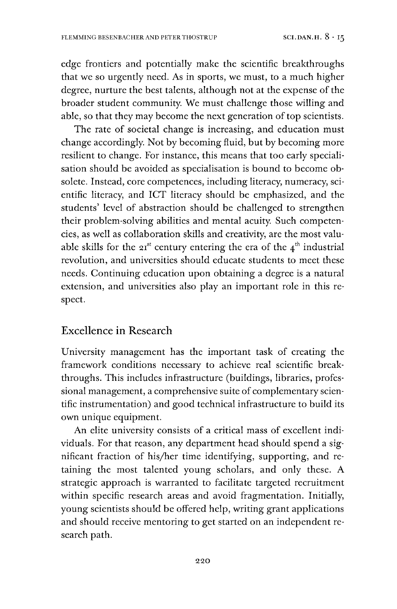edge frontiers and potentially make the scientific breakthroughs that we so urgently need. As in sports, we must, to a much higher degree, nurture the best talents, although not at the expense of the broader student community. We must challenge those willing and able, so that they may become the next generation of top scientists.

The rate of societal change is increasing, and education must change accordingly. Not by becoming fluid, but by becoming more resilient to change. For instance, this means that too early specialisation should be avoided as specialisation is bound to become obsolete. Instead, core competences, including literacy, numeracy, scientific literacy, and ICT literacy should be emphasized, and the students' level of abstraction should be challenged to strengthen their problem-solving abilities and mental acuity. Such competencies, as well as collaboration skills and creativity, are the most valuable skills for the  $21^{st}$  century entering the era of the  $4^{th}$  industrial revolution, and universities should educate students to meet these needs. Continuing education upon obtaining a degree is a natural extension, and universities also play an important role in this respect.

#### Excellence in Research

University management has the important task of creating the framework conditions necessary to achieve real scientific breakthroughs. This includes infrastructure (buildings, libraries, professional management, a comprehensive suite of complementary scientific instrumentation) and good technical infrastructure to build its own unique equipment.

An elite university consists of a critical mass of excellent individuals. For that reason, any department head should spend a significant fraction of his/her time identifying, supporting, and retaining the most talented young scholars, and only these. A strategic approach is warranted to facilitate targeted recruitment within specific research areas and avoid fragmentation. Initially, young scientists should be offered help, writing grant applications and should receive mentoring to get started on an independent research path.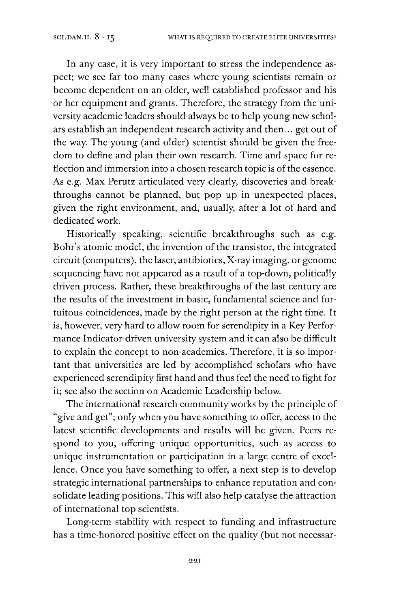In any case, it is very important to stress the independence aspect; we see far too many cases where young scientists remain or become dependent on an older, well established professor and his or her equipment and grants. Therefore, the strategy from the university academic leaders should always be to help young new scholars establish an independent research activity and then... get out of the way. The young (and older) scientist should be given the freedom to define and plan their own research. Time and space for reflection and immersion into a chosen research topic is of the essence. As e.g. Max Perutz articulated very clearly, discoveries and breakthroughs cannot be planned, but pop up in unexpected places, given the right environment, and, usually, after a lot of hard and dedicated work.

Historically speaking, scientific breakthroughs such as e.g. Bohr's atomic model, the invention of the transistor, the integrated circuit (computers), the laser, antibiotics, X-ray imaging, or genome sequencing have not appeared as a result of a top-down, politically driven process. Rather, these breakthroughs of the last century are the results of the investment in basic, fundamental science and fortuitous coincidences, made by the right person at the right time. It is, however, very hard to allow room for serendipity in a Key Performance Indicator-driven university system and it can also be difficult to explain the concept to non-academics. Therefore, it is so important that universities are led by accomplished scholars who have experienced serendipity first hand and thus feel the need to fight for it; see also the section on Academic Leadership below.

The international research community works by the principle of "give and get"; only when you have something to offer, access to the latest scientific developments and results will be given. Peers respond to you, offering unique opportunities, such as access to unique instrumentation or participation in a large centre of excellence. Once you have something to offer, a next step is to develop strategic international partnerships to enhance reputation and consolidate leading positions. This will also help catalyse the attraction of international top scientists.

Long-term stability with respect to funding and infrastructure has a time-honored positive effect on the quality (but not necessar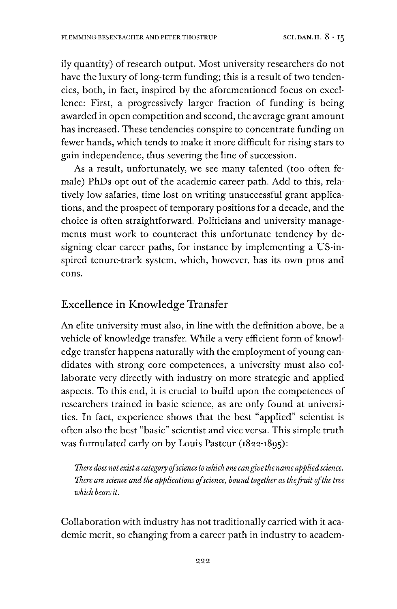ily quantity) of research output. Most university researchers do not have the luxury of long-term funding; this is a result of two tendencies, both, in fact, inspired by the aforementioned focus on excellence: First, a progressively larger fraction of funding is being awarded in open competition and second, the average grant amount has increased. These tendencies conspire to concentrate funding on fewer hands, which tends to make it more difficult for rising stars to gain independence, thus severing the line of succession.

As a result, unfortunately, we see many talented (too often female) PhDs opt out of the academic career path. Add to this, relatively low salaries, time lost on writing unsuccessful grant applications, and the prospect of temporary positions for a decade, and the choice is often straightforward. Politicians and university managements must work to counteract this unfortunate tendency by designing clear career paths, for instance by implementing a US-inspired tenure-track system, which, however, has its own pros and cons.

# Excellence in Knowledge Transfer

An elite university must also, in line with the definition above, be a vehicle of knowledge transfer. While a very efficient form of knowledge transfer happens naturally with the employment of young candidates with strong core competences, a university must also collaborate very directly with industry on more strategic and applied aspects. To this end, it is crucial to build upon the competences of researchers trained in basic science, as are only found at universities. In fact, experience shows that the best "applied" scientist is often also the best "basic" scientist and vice versa. This simple truth was formulated early on by Louis Pasteur (1822-1895):

*There does not exista category ofscience to which one cangivethenameappliedscience. There are science and the applications ofscience, bound together as thefruit ofthe tree which bearsit.*

Collaboration with industry has not traditionally carried with it academic merit, so changing from a career path in industry to academ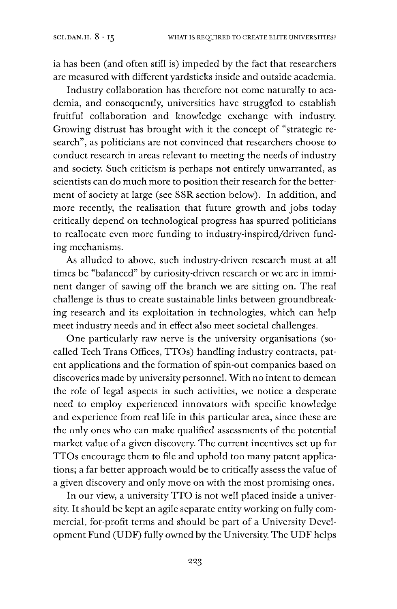ia has been (and often still is) impeded by the fact that researchers are measured with different yardsticks inside and outside academia.

Industry collaboration has therefore not come naturally to academia, and consequently, universities have struggled to establish fruitful collaboration and knowledge exchange with industry. Growing distrust has brought with it the concept of "strategic research", as politicians are not convinced that researchers choose to conduct research in areas relevant to meeting the needs of industry and society. Such criticism is perhaps not entirely unwarranted, as scientists can do much more to position their research for the betterment of society at large (see SSR section below). In addition, and more recently, the realisation that future growth and jobs today critically depend on technological progress has spurred politicians to reallocate even more funding to industry-inspired/driven funding mechanisms.

As alluded to above, such industry-driven research must at all times be "balanced" by curiosity-driven research or we are in imminent danger of sawing off the branch we are sitting on. The real challenge is thus to create sustainable links between groundbreaking research and its exploitation in technologies, which can help meet industry needs and in effect also meet societal challenges.

One particularly raw nerve is the university organisations (socalled Tech Trans Offices, TTOs) handling industry contracts, patent applications and the formation of spin-out companies based on discoveries made by university personnel. With no intent to demean the role of legal aspects in such activities, we notice a desperate need to employ experienced innovators with specific knowledge and experience from real life in this particular area, since these are the only ones who can make qualified assessments of the potential market value of a given discovery. The current incentives set up for TTOs encourage them to file and uphold too many patent applications; a far better approach would be to critically assess the value of a given discovery and only move on with the most promising ones.

In our view, a university TTO is not well placed inside a university. It should be kept an agile separate entity working on fully commercial, for-profit terms and should be part of a University Development Fund (UDF) fully owned by the University. The UDF helps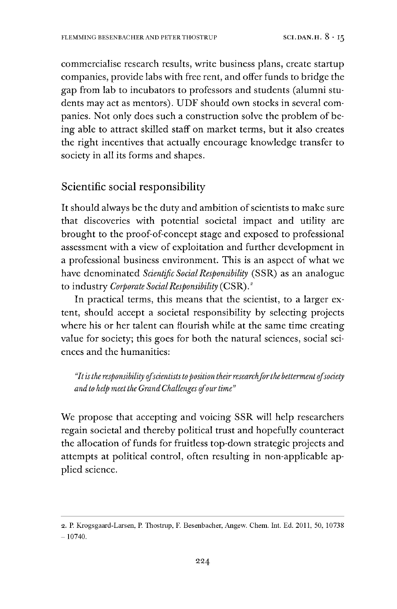commercialise research results, write business plans, create startup companies, provide labs with free rent, and offer funds to bridge the gap from lab to incubators to professors and students (alumni students may act as mentors). UDF should own stocks in several companies. Not only does such a construction solve the problem of being able to attract skilled staff on market terms, but it also creates the right incentives that actually encourage knowledge transfer to society in all its forms and shapes.

# Scientific social responsibility

It should always be the duty and ambition of scientists to make sure that discoveries with potential societal impact and utility are brought to the proof-of-concept stage and exposed to professional assessment with a view of exploitation and further development in a professional business environment. This is an aspect of what we have denominated *Scientific SocialResponsibility* (SSR) as an analogue to industry *Corporate SocialResponsibility* (CSR).[2](#page-8-0)

In practical terms, this means that the scientist, to a larger extent, should accept a societal responsibility by selecting projects where his or her talent can flourish while at the same time creating value for society; this goes for both the natural sciences, social sciences and the humanities:

*"Itisthe responsibility ofscientiststoposition theirresearchforthe bettermentofsociety and to help meet the GrandChallenges ofourtime"*

We propose that accepting and voicing SSR will help researchers regain societal and thereby political trust and hopefully counteract the allocation of funds for fruitless top-down strategic projects and attempts at political control, often resulting in non-applicable applied science.

<span id="page-8-0"></span><sup>2.</sup> P. Krogsgaard-Larsen, P. Thostrup, F. Besenbacher, Angew. Chem. Int. Ed. 2011, 50, 10738  $- 10740.$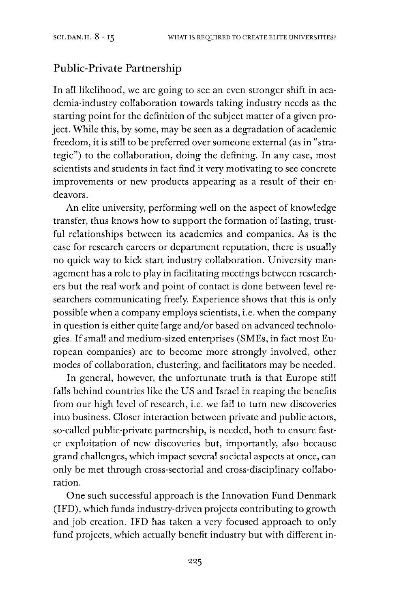# Public-Private Partnership

In all likelihood, we are going to see an even stronger shift in academia-industry collaboration towards taking industry needs as the starting point for the definition of the subject matter of a given project. While this, by some, may be seen as a degradation of academic freedom, it is still to be preferred over someone external (as in "strategic") to the collaboration, doing the defining. In any case, most scientists and students in fact find it very motivating to see concrete improvements or new products appearing as a result of their endeavors.

An elite university, performing well on the aspect of knowledge transfer, thus knows how to support the formation of lasting, trustful relationships between its academics and companies. As is the case for research careers or department reputation, there is usually no quick way to kick start industry collaboration. University management has a role to play in facilitating meetings between researchers but the real work and point of contact is done between level researchers communicating freely. Experience shows that this is only possible when a company employs scientists, i.e. when the company in question is either quite large and/or based on advanced technologies. If small and medium-sized enterprises (SMEs, in fact most European companies) are to become more strongly involved, other modes of collaboration, clustering, and facilitators may be needed.

In general, however, the unfortunate truth is that Europe still falls behind countries like the US and Israel in reaping the benefits from our high level of research, i.e. we fail to turn new discoveries into business. Closer interaction between private and public actors, so-called public-private partnership, is needed, both to ensure faster exploitation of new discoveries but, importantly, also because grand challenges, which impact several societal aspects at once, can only be met through cross-sectorial and cross-disciplinary collaboration.

One such successful approach is the Innovation Fund Denmark (IFD), which funds industry-driven projects contributing to growth and job creation. IFD has taken a very focused approach to only fund projects, which actually benefit industry but with different in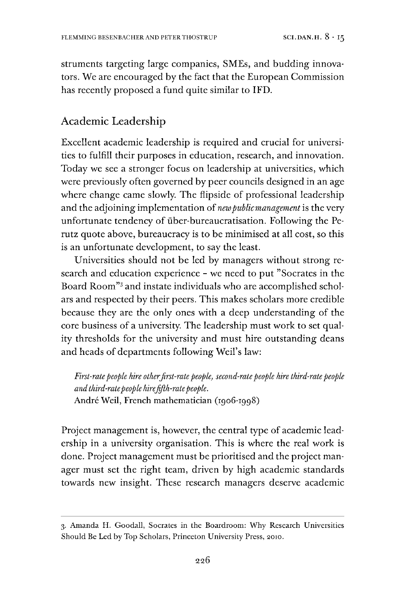struments targeting large companies, SMEs, and budding innovators. We are encouraged by the fact that the European Commission has recently proposed a fund quite similar to IFD.

## Academic Leadership

Excellent academic leadership is required and crucial for universities to fulfill their purposes in education, research, and innovation. Today we see a stronger focus on leadership at universities, which were previously often governed by peer councils designed in an age where change came slowly. The flipside of professional leadership and the adjoining implementation of *newpublicmanagement* is the very unfortunate tendency of über-bureaucratisation. Following the Perutz quote above, bureaucracy is to be minimised at all cost, so this is an unfortunate development, to say the least.

Universities should not be led by managers without strong research and education experience - we need to put ''Socrates in the Board Room"[3](#page-10-0) and instate individuals who are accomplished scholars and respected by their peers. This makes scholars more credible because they are the only ones with a deep understanding of the core business of a university. The leadership must work to set quality thresholds for the university and must hire outstanding deans and heads of departments following Weil's law:

*First-ratepeople hire otherfirst-rate people, second-ratepeople hire third-ratepeople and third-ratepeople hirefifth-ratepeople.* Andre Weil, French mathematician (1906-1998)

Project management is, however, the central type of academic leadership in a university organisation. This is where the real work is done. Project management must be prioritised and the project manager must set the right team, driven by high academic standards towards new insight. These research managers deserve academic

<span id="page-10-0"></span><sup>3.</sup> Amanda H. Goodall, Socrates in the Boardroom: Why Research Universities Should Be Led by Top Scholars, Princeton University Press, 2010.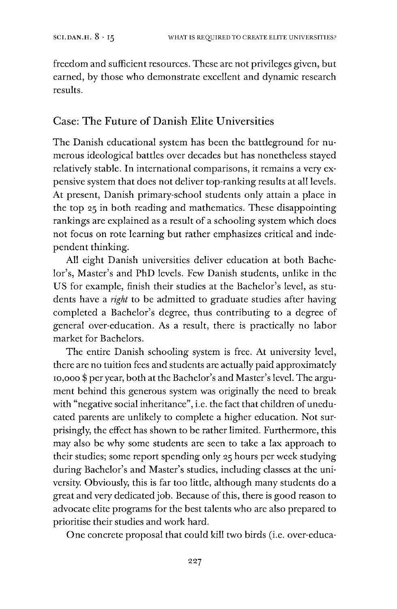freedom and sufficient resources. These are not privileges given, but earned, by those who demonstrate excellent and dynamic research results.

# Case: The Future of Danish Elite Universities

The Danish educational system has been the battleground for numerous ideological battles over decades but has nonetheless stayed relatively stable. In international comparisons, it remains a very expensive system that does not deliver top-ranking results at all levels. At present, Danish primary-school students only attain a place in the top 25 in both reading and mathematics. These disappointing rankings are explained as a result of a schooling system which does not focus on rote learning but rather emphasizes critical and independent thinking.

All eight Danish universities deliver education at both Bachelor's, Master's and PhD levels. Few Danish students, unlike in the US for example, finish their studies at the Bachelor's level, as students have a *right* to be admitted to graduate studies after having completed a Bachelor's degree, thus contributing to a degree of general over-education. As a result, there is practically no labor market for Bachelors.

The entire Danish schooling system is free. At university level, there are no tuition fees and students are actually paid approximately 10,000 \$ per year, both at the Bachelor's and Master's level. The argument behind this generous system was originally the need to break with "negative social inheritance", i.e. the fact that children of uneducated parents are unlikely to complete a higher education. Not surprisingly, the effect has shown to be rather limited. Furthermore, this may also be why some students are seen to take a lax approach to their studies; some report spending only 25 hours per week studying during Bachelor's and Master's studies, including classes at the university. Obviously, this is far too little, although many students do a great and very dedicated job. Because of this, there is good reason to advocate elite programs for the best talents who are also prepared to prioritise their studies and work hard.

One concrete proposal that could kill two birds (i.e. over-educa-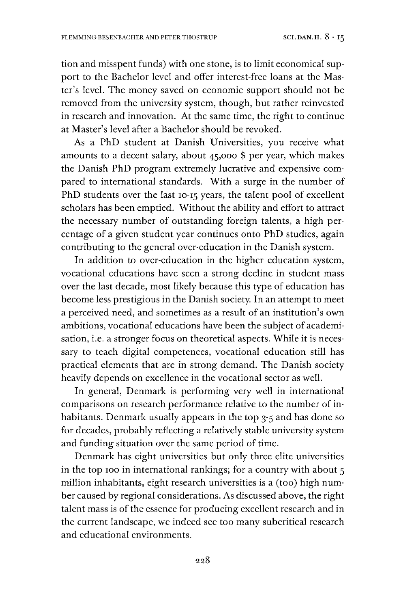tion and misspent funds) with one stone, is to limit economical support to the Bachelor level and offer interest-free loans at the Master's level. The money saved on economic support should not be removed from the university system, though, but rather reinvested in research and innovation. At the same time, the right to continue at Master's level after a Bachelor should be revoked.

As a PhD student at Danish Universities, you receive what amounts to a decent salary, about 45,000 \$ per year, which makes the Danish PhD program extremely lucrative and expensive compared to international standards. With a surge in the number of PhD students over the last 10-15 years, the talent pool of excellent scholars has been emptied. Without the ability and effort to attract the necessary number of outstanding foreign talents, a high percentage of a given student year continues onto PhD studies, again contributing to the general over-education in the Danish system.

In addition to over-education in the higher education system, vocational educations have seen a strong decline in student mass over the last decade, most likely because this type of education has become less prestigious in the Danish society. In an attempt to meet a perceived need, and sometimes as a result of an institution's own ambitions, vocational educations have been the subject of academisation, i.e. a stronger focus on theoretical aspects. While it is necessary to teach digital competences, vocational education still has practical elements that are in strong demand. The Danish society heavily depends on excellence in the vocational sector as well.

In general, Denmark is performing very well in international comparisons on research performance relative to the number of inhabitants. Denmark usually appears in the top 3-5 and has done so for decades, probably reflecting a relatively stable university system and funding situation over the same period of time.

Denmark has eight universities but only three elite universities in the top 100 in international rankings; for a country with about <sup>5</sup> million inhabitants, eight research universities is a (too) high number caused by regional considerations. As discussed above, the right talent mass is of the essence for producing excellent research and in the current landscape, we indeed see too many subcritical research and educational environments.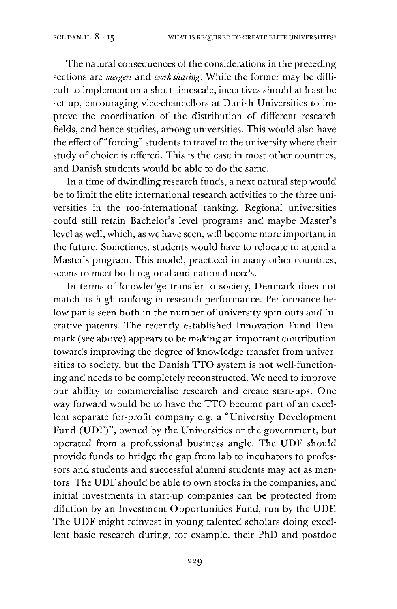The natural consequences of the considerations in the preceding sections are *mergers* and *work sharing.* While the former may be difficult to implement on a short timescale, incentives should at least be set up, encouraging vice-chancellors at Danish Universities to improve the coordination of the distribution of different research fields, and hence studies, among universities. This would also have the effect of "forcing" students to travel to the university where their study of choice is offered. This is the case in most other countries, and Danish students would be able to do the same.

In a time of dwindling research funds, a next natural step would be to limit the elite international research activities to the three universities in the ioo-international ranking. Regional universities could still retain Bachelor's level programs and maybe Master'<sup>s</sup> level as well, which, as we have seen, will become more important in the future. Sometimes, students would have to relocate to attend a Master's program. This model, practiced in many other countries, seems to meet both regional and national needs.

In terms of knowledge transfer to society, Denmark does not match its high ranking in research performance. Performance below par is seen both in the number of university spin-outs and lucrative patents. The recently established Innovation Fund Denmark (see above) appears to be making an important contribution towards improving the degree of knowledge transfer from universities to society, but the Danish TTO system is not well-functioning and needs to be completely reconstructed. We need to improve our ability to commercialise research and create start-ups. One way forward would be to have the TTO become part of an excellent separate for-profit company e.g. a "University Development Fund (UDF)", owned by the Universities or the government, but operated from a professional business angle. The UDF should provide funds to bridge the gap from lab to incubators to professors and students and successful alumni students may act as mentors. The UDF should be able to own stocks in the companies, and initial investments in start-up companies can be protected from dilution by an Investment Opportunities Fund, run by the UDF. The UDF might reinvest in young talented scholars doing excellent basic research during, for example, their PhD and postdoc